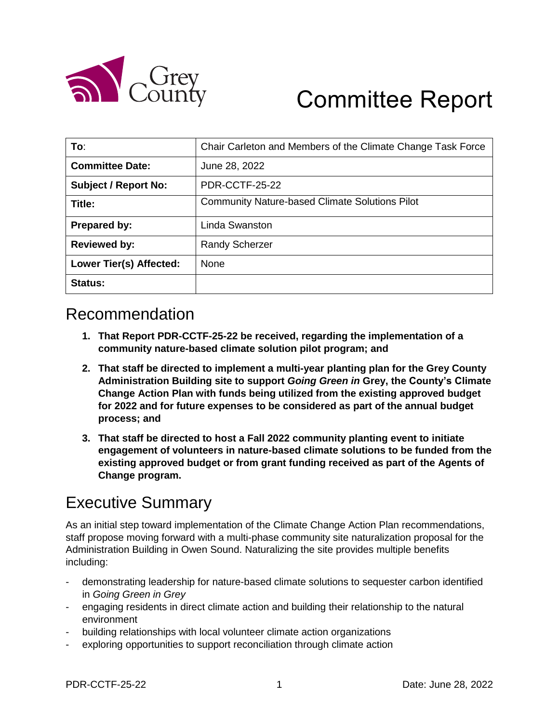

# Committee Report

| To:                            | Chair Carleton and Members of the Climate Change Task Force |
|--------------------------------|-------------------------------------------------------------|
| <b>Committee Date:</b>         | June 28, 2022                                               |
| <b>Subject / Report No:</b>    | <b>PDR-CCTF-25-22</b>                                       |
| Title:                         | <b>Community Nature-based Climate Solutions Pilot</b>       |
| Prepared by:                   | Linda Swanston                                              |
| <b>Reviewed by:</b>            | <b>Randy Scherzer</b>                                       |
| <b>Lower Tier(s) Affected:</b> | <b>None</b>                                                 |
| Status:                        |                                                             |

## Recommendation

- **1. That Report PDR-CCTF-25-22 be received, regarding the implementation of a community nature-based climate solution pilot program; and**
- **2. That staff be directed to implement a multi-year planting plan for the Grey County Administration Building site to support** *Going Green in* **Grey, the County's Climate Change Action Plan with funds being utilized from the existing approved budget for 2022 and for future expenses to be considered as part of the annual budget process; and**
- **3. That staff be directed to host a Fall 2022 community planting event to initiate engagement of volunteers in nature-based climate solutions to be funded from the existing approved budget or from grant funding received as part of the Agents of Change program.**

# Executive Summary

As an initial step toward implementation of the Climate Change Action Plan recommendations, staff propose moving forward with a multi-phase community site naturalization proposal for the Administration Building in Owen Sound. Naturalizing the site provides multiple benefits including:

- demonstrating leadership for nature-based climate solutions to sequester carbon identified in *Going Green in Grey*
- engaging residents in direct climate action and building their relationship to the natural environment
- building relationships with local volunteer climate action organizations
- exploring opportunities to support reconciliation through climate action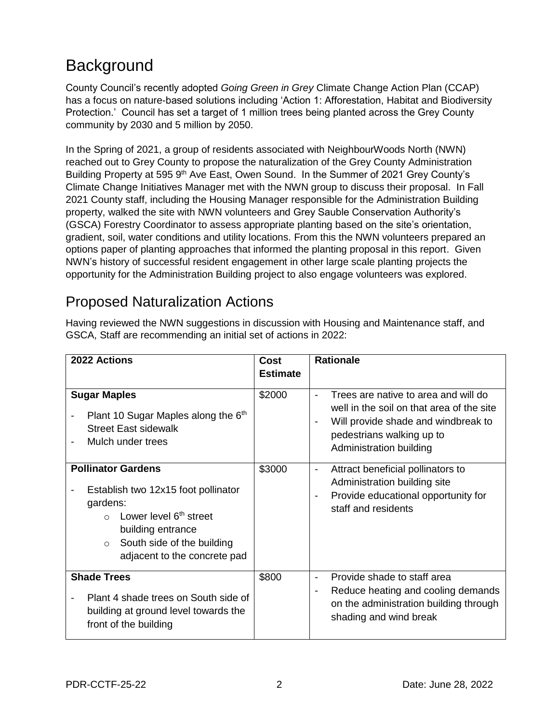# **Background**

County Council's recently adopted *Going Green in Grey* Climate Change Action Plan (CCAP) has a focus on nature-based solutions including 'Action 1: Afforestation, Habitat and Biodiversity Protection.' Council has set a target of 1 million trees being planted across the Grey County community by 2030 and 5 million by 2050.

In the Spring of 2021, a group of residents associated with NeighbourWoods North (NWN) reached out to Grey County to propose the naturalization of the Grey County Administration Building Property at 595 9<sup>th</sup> Ave East, Owen Sound. In the Summer of 2021 Grey County's Climate Change Initiatives Manager met with the NWN group to discuss their proposal. In Fall 2021 County staff, including the Housing Manager responsible for the Administration Building property, walked the site with NWN volunteers and Grey Sauble Conservation Authority's (GSCA) Forestry Coordinator to assess appropriate planting based on the site's orientation, gradient, soil, water conditions and utility locations. From this the NWN volunteers prepared an options paper of planting approaches that informed the planting proposal in this report. Given NWN's history of successful resident engagement in other large scale planting projects the opportunity for the Administration Building project to also engage volunteers was explored.

#### Proposed Naturalization Actions

| Having reviewed the NWN suggestions in discussion with Housing and Maintenance staff, and |
|-------------------------------------------------------------------------------------------|
| GSCA, Staff are recommending an initial set of actions in 2022:                           |

| 2022 Actions                                                                                                                                                                                                               | <b>Cost</b><br><b>Estimate</b> | <b>Rationale</b>                                                                                                                                                                                                               |  |  |
|----------------------------------------------------------------------------------------------------------------------------------------------------------------------------------------------------------------------------|--------------------------------|--------------------------------------------------------------------------------------------------------------------------------------------------------------------------------------------------------------------------------|--|--|
| <b>Sugar Maples</b><br>Plant 10 Sugar Maples along the 6 <sup>th</sup><br><b>Street East sidewalk</b><br>Mulch under trees                                                                                                 | \$2000                         | Trees are native to area and will do<br>$\blacksquare$<br>well in the soil on that area of the site<br>Will provide shade and windbreak to<br>$\overline{\phantom{a}}$<br>pedestrians walking up to<br>Administration building |  |  |
| <b>Pollinator Gardens</b><br>Establish two 12x15 foot pollinator<br>gardens:<br>Lower level 6 <sup>th</sup> street<br>$\cap$<br>building entrance<br>South side of the building<br>$\circ$<br>adjacent to the concrete pad | \$3000                         | Attract beneficial pollinators to<br>-<br>Administration building site<br>Provide educational opportunity for<br>$\qquad \qquad \blacksquare$<br>staff and residents                                                           |  |  |
| <b>Shade Trees</b><br>Plant 4 shade trees on South side of<br>building at ground level towards the<br>front of the building                                                                                                | \$800                          | Provide shade to staff area<br>$\qquad \qquad \blacksquare$<br>Reduce heating and cooling demands<br>-<br>on the administration building through<br>shading and wind break                                                     |  |  |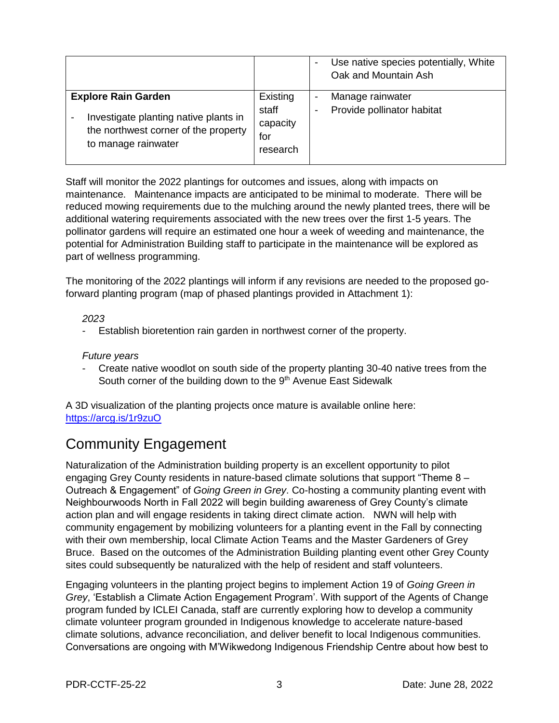|                                                                                                                                    |                                                  | $\overline{\phantom{a}}$      | Use native species potentially, White<br>Oak and Mountain Ash |
|------------------------------------------------------------------------------------------------------------------------------------|--------------------------------------------------|-------------------------------|---------------------------------------------------------------|
| <b>Explore Rain Garden</b><br>Investigate planting native plants in<br>the northwest corner of the property<br>to manage rainwater | Existing<br>staff<br>capacity<br>for<br>research | $\overline{\phantom{a}}$<br>٠ | Manage rainwater<br>Provide pollinator habitat                |

Staff will monitor the 2022 plantings for outcomes and issues, along with impacts on maintenance. Maintenance impacts are anticipated to be minimal to moderate. There will be reduced mowing requirements due to the mulching around the newly planted trees, there will be additional watering requirements associated with the new trees over the first 1-5 years. The pollinator gardens will require an estimated one hour a week of weeding and maintenance, the potential for Administration Building staff to participate in the maintenance will be explored as part of wellness programming.

The monitoring of the 2022 plantings will inform if any revisions are needed to the proposed goforward planting program (map of phased plantings provided in Attachment 1):

#### *2023*

Establish bioretention rain garden in northwest corner of the property.

#### *Future years*

- Create native woodlot on south side of the property planting 30-40 native trees from the South corner of the building down to the 9<sup>th</sup> Avenue East Sidewalk

A 3D visualization of the planting projects once mature is available online here: <https://arcg.is/1r9zuO>

## Community Engagement

Naturalization of the Administration building property is an excellent opportunity to pilot engaging Grey County residents in nature-based climate solutions that support "Theme 8 – Outreach & Engagement" of *Going Green in Grey*. Co-hosting a community planting event with Neighbourwoods North in Fall 2022 will begin building awareness of Grey County's climate action plan and will engage residents in taking direct climate action. NWN will help with community engagement by mobilizing volunteers for a planting event in the Fall by connecting with their own membership, local Climate Action Teams and the Master Gardeners of Grey Bruce. Based on the outcomes of the Administration Building planting event other Grey County sites could subsequently be naturalized with the help of resident and staff volunteers.

Engaging volunteers in the planting project begins to implement Action 19 of *Going Green in Grey*, 'Establish a Climate Action Engagement Program'. With support of the Agents of Change program funded by ICLEI Canada, staff are currently exploring how to develop a community climate volunteer program grounded in Indigenous knowledge to accelerate nature-based climate solutions, advance reconciliation, and deliver benefit to local Indigenous communities. Conversations are ongoing with M'Wikwedong Indigenous Friendship Centre about how best to